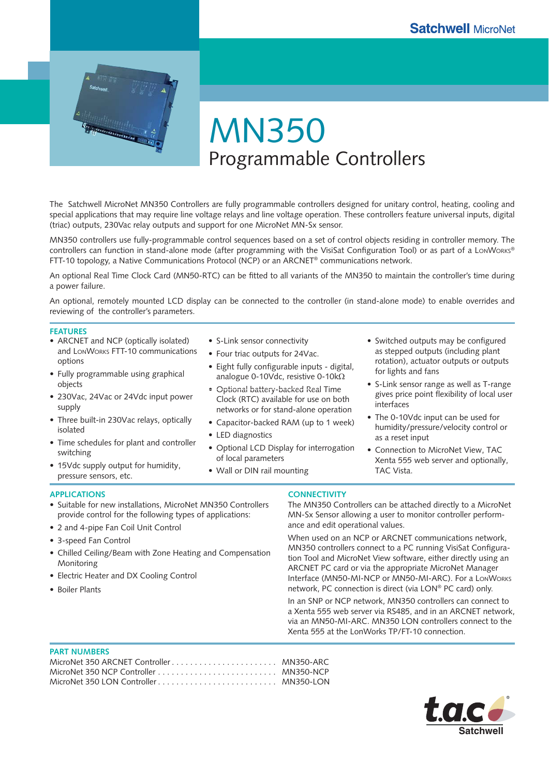

# MN350 Programmable Controllers

The Satchwell MicroNet MN350 Controllers are fully programmable controllers designed for unitary control, heating, cooling and special applications that may require line voltage relays and line voltage operation. These controllers feature universal inputs, digital (triac) outputs, 230Vac relay outputs and support for one MicroNet MN-Sx sensor.

MN350 controllers use fully-programmable control sequences based on a set of control objects residing in controller memory. The controllers can function in stand-alone mode (after programming with the VisiSat Configuration Tool) or as part of a LonWorks® FTT-10 topology, a Native Communications Protocol (NCP) or an ARCNET® communications network.

An optional Real Time Clock Card (MN50-RTC) can be fitted to all variants of the MN350 to maintain the controller's time during a power failure.

An optional, remotely mounted LCD display can be connected to the controller (in stand-alone mode) to enable overrides and reviewing of the controller's parameters.

#### **FEATURES**

- ARCNET and NCP (optically isolated) and LONWORKS FTT-10 communications options
- Fully programmable using graphical objects
- 230Vac, 24Vac or 24Vdc input power supply
- Three built-in 230Vac relays, optically isolated
- Time schedules for plant and controller switching
- 15Vdc supply output for humidity, pressure sensors, etc.
- S-Link sensor connectivity
- Four triac outputs for 24Vac.
- Eight fully configurable inputs digital, analogue 0-10Vdc, resistive 0-10kΩ
- Optional battery-backed Real Time Clock (RTC) available for use on both networks or for stand-alone operation
- Capacitor-backed RAM (up to 1 week) •
- LED diagnostics
- Optional LCD Display for interrogation of local parameters
- Wall or DIN rail mounting
- Switched outputs may be configured as stepped outputs (including plant rotation), actuator outputs or outputs for lights and fans
- S-Link sensor range as well as T-range gives price point flexibility of local user interfaces
- The 0-10Vdc input can be used for humidity/pressure/velocity control or as a reset input
- Connection to MicroNet View, TAC Xenta 555 web server and optionally, TAC Vista.

## **APPLICATIONS**

- Suitable for new installations, MicroNet MN350 Controllers provide control for the following types of applications:
- 2 and 4-pipe Fan Coil Unit Control •
- 3-speed Fan Control •
- Chilled Ceiling/Beam with Zone Heating and Compensation Monitoring
- Electric Heater and DX Cooling Control
- Boiler Plants

## **CONNECTIVITY**

The MN350 Controllers can be attached directly to a MicroNet MN-Sx Sensor allowing a user to monitor controller performance and edit operational values.

When used on an NCP or ARCNET communications network, MN350 controllers connect to a PC running VisiSat Configuration Tool and MicroNet View software, either directly using an ARCNET PC card or via the appropriate MicroNet Manager Interface (MN50-MI-NCP or MN50-MI-ARC). For a LONWORKS network, PC connection is direct (via LON® PC card) only.

In an SNP or NCP network, MN350 controllers can connect to a Xenta 555 web server via RS485, and in an ARCNET network, via an MN50-MI-ARC. MN350 LON controllers connect to the Xenta 555 at the LonWorks TP/FT-10 connection.

#### **PART NUMBERS**

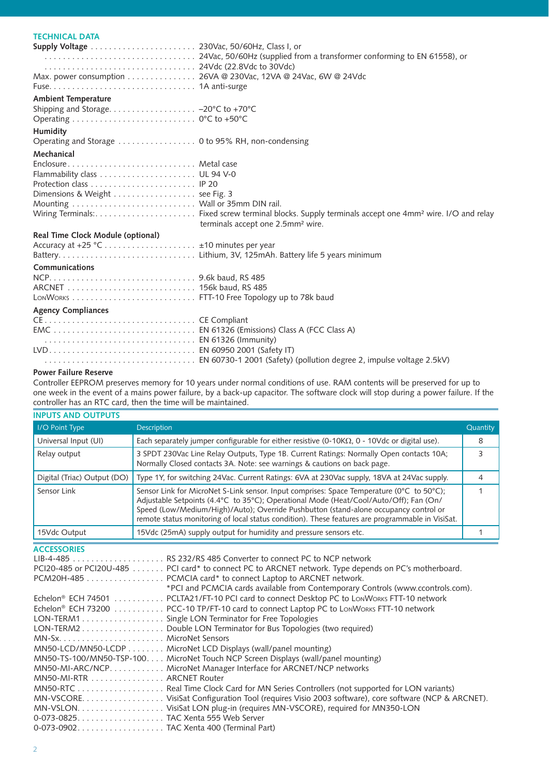# **TECHNICAL DATA**

|                                   | Max. power consumption 26VA @ 230Vac, 12VA @ 24Vac, 6W @ 24Vdc |
|-----------------------------------|----------------------------------------------------------------|
|                                   |                                                                |
| <b>Ambient Temperature</b>        |                                                                |
|                                   |                                                                |
|                                   |                                                                |
| Humidity                          |                                                                |
|                                   |                                                                |
| Mechanical                        |                                                                |
| Enclosure Metal case              |                                                                |
|                                   |                                                                |
|                                   |                                                                |
| Dimensions & Weight see Fig. 3    |                                                                |
|                                   |                                                                |
|                                   | terminals accept one 2.5mm <sup>2</sup> wire.                  |
| Real Time Clock Module (optional) |                                                                |
|                                   |                                                                |
|                                   |                                                                |
| Communications                    |                                                                |
|                                   |                                                                |
|                                   |                                                                |
|                                   |                                                                |
| <b>Agency Compliances</b>         |                                                                |
|                                   |                                                                |
|                                   |                                                                |
|                                   |                                                                |
|                                   |                                                                |
|                                   |                                                                |

#### **Power Failure Reserve**

Controller EEPROM preserves memory for 10 years under normal conditions of use. RAM contents will be preserved for up to one week in the event of a mains power failure, by a back-up capacitor. The software clock will stop during a power failure. If the controller has an RTC card, then the time will be maintained.

| <b>INPUTS AND OUTPUTS</b>   |                                                                                                                                                                                                                                                                                                                                                                                |          |
|-----------------------------|--------------------------------------------------------------------------------------------------------------------------------------------------------------------------------------------------------------------------------------------------------------------------------------------------------------------------------------------------------------------------------|----------|
| I/O Point Type              | <b>Description</b>                                                                                                                                                                                                                                                                                                                                                             | Quantity |
| Universal Input (UI)        | Each separately jumper configurable for either resistive $(0-10K\Omega, 0 - 10V)$ or digital use).                                                                                                                                                                                                                                                                             | 8        |
| Relay output                | 3 SPDT 230Vac Line Relay Outputs, Type 1B. Current Ratings: Normally Open contacts 10A;<br>Normally Closed contacts 3A. Note: see warnings & cautions on back page.                                                                                                                                                                                                            |          |
| Digital (Triac) Output (DO) | Type 1Y, for switching 24Vac. Current Ratings: 6VA at 230Vac supply, 18VA at 24Vac supply.                                                                                                                                                                                                                                                                                     |          |
| Sensor Link                 | Sensor Link for MicroNet S-Link sensor. Input comprises: Space Temperature (0°C to 50°C);<br>Adjustable Setpoints (4.4°C to 35°C); Operational Mode (Heat/Cool/Auto/Off); Fan (On/<br>Speed (Low/Medium/High)/Auto); Override Pushbutton (stand-alone occupancy control or<br>remote status monitoring of local status condition). These features are programmable in VisiSat. |          |
| 15Vdc Output                | 15Vdc (25mA) supply output for humidity and pressure sensors etc.                                                                                                                                                                                                                                                                                                              |          |

**ACCESSORIES**

|                                         | PCI20-485 or PCI20U-485 PCI card* to connect PC to ARCNET network. Type depends on PC's motherboard. |
|-----------------------------------------|------------------------------------------------------------------------------------------------------|
|                                         | PCM20H-485 PCMCIA card* to connect Laptop to ARCNET network.                                         |
|                                         | *PCI and PCMCIA cards available from Contemporary Controls (www.ccontrols.com).                      |
|                                         | Echelon® ECH 74501 PCLTA21/FT-10 PCI card to connect Desktop PC to LONWORKS FTT-10 network           |
|                                         | Echelon® ECH 73200 PCC-10 TP/FT-10 card to connect Laptop PC to LonWorks FTT-10 network              |
|                                         | LON-TERM1 Single LON Terminator for Free Topologies                                                  |
|                                         | LON-TERM2 Double LON Terminator for Bus Topologies (two required)                                    |
|                                         |                                                                                                      |
|                                         | MN50-LCD/MN50-LCDP MicroNet LCD Displays (wall/panel mounting)                                       |
|                                         | MN50-TS-100/MN50-TSP-100. MicroNet Touch NCP Screen Displays (wall/panel mounting)                   |
|                                         | MN50-MI-ARC/NCP. MicroNet Manager Interface for ARCNET/NCP networks                                  |
| MN50-MI-RTR ARCNET Router               |                                                                                                      |
|                                         |                                                                                                      |
|                                         |                                                                                                      |
|                                         |                                                                                                      |
|                                         |                                                                                                      |
| 0-073-0902TAC Xenta 400 (Terminal Part) |                                                                                                      |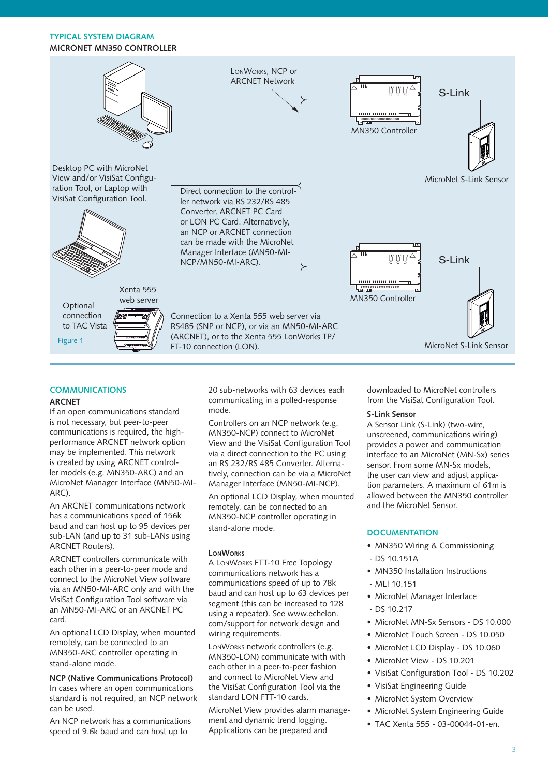## **TYPICAL SYSTEM DIAGRAM MICRONET MN350 CONTROLLER**



#### **COMMUNICATIONS ARCNET**

If an open communications standard is not necessary, but peer-to-peer communications is required, the highperformance ARCNET network option may be implemented. This network is created by using ARCNET controller models (e.g. MN350-ARC) and an MicroNet Manager Interface (MN50-MI-ARC).

An ARCNET communications network has a communications speed of 156k baud and can host up to 95 devices per sub-LAN (and up to 31 sub-LANs using ARCNET Routers).

ARCNET controllers communicate with each other in a peer-to-peer mode and connect to the MicroNet View software via an MN50-MI-ARC only and with the VisiSat Configuration Tool software via an MN50-MI-ARC or an ARCNET PC card.

An optional LCD Display, when mounted remotely, can be connected to an MN350-ARC controller operating in stand-alone mode.

**NCP (Native Communications Protocol)** In cases where an open communications standard is not required, an NCP network can be used.

An NCP network has a communications speed of 9.6k baud and can host up to

20 sub-networks with 63 devices each communicating in a polled-response mode.

Controllers on an NCP network (e.g. MN350-NCP) connect to MicroNet View and the VisiSat Configuration Tool via a direct connection to the PC using an RS 232/RS 485 Converter. Alternatively, connection can be via a MicroNet Manager Interface (MN50-MI-NCP).

An optional LCD Display, when mounted remotely, can be connected to an MN350-NCP controller operating in stand-alone mode.

## **LONWORKS**

A LONWORKS FTT-10 Free Topology communications network has a communications speed of up to 78k baud and can host up to 63 devices per segment (this can be increased to 128 using a repeater). See www.echelon. com/support for network design and wiring requirements.

LONWORKS network controllers (e.g. MN350-LON) communicate with with each other in a peer-to-peer fashion and connect to MicroNet View and the VisiSat Configuration Tool via the standard LON FTT-10 cards.

MicroNet View provides alarm management and dynamic trend logging. Applications can be prepared and

downloaded to MicroNet controllers from the VisiSat Configuration Tool.

## **S-Link Sensor**

A Sensor Link (S-Link) (two-wire, unscreened, communications wiring) provides a power and communication interface to an MicroNet (MN-Sx) series sensor. From some MN-Sx models, the user can view and adjust application parameters. A maximum of 61m is allowed between the MN350 controller and the MicroNet Sensor.

# **DOCUMENTATION**

- MN350 Wiring & Commissioning
- DS 10.151A
- MN350 Installation Instructions
- $-MI110.151$
- MicroNet Manager Interface
- $-$  DS 10.217
- MicroNet MN-Sx Sensors DS 10.000
- MicroNet Touch Screen DS 10.050
- MicroNet LCD Display DS 10.060
- MicroNet View DS 10.201
- VisiSat Configuration Tool DS 10.202
- VisiSat Engineering Guide
- MicroNet System Overview
- MicroNet System Engineering Guide
- TAC Xenta 555 03-00044-01-en. •